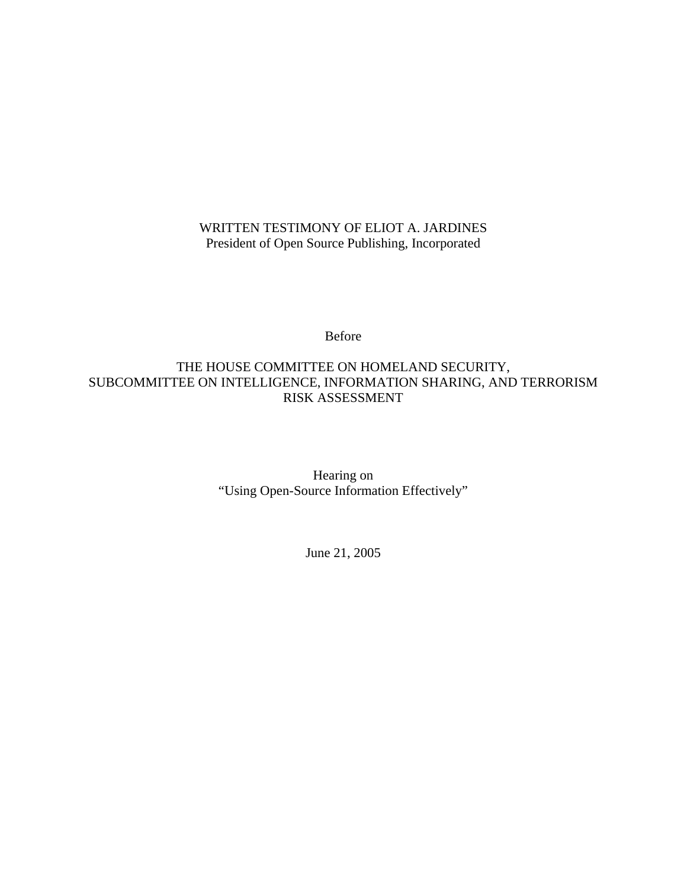## WRITTEN TESTIMONY OF ELIOT A. JARDINES President of Open Source Publishing, Incorporated

Before

## THE HOUSE COMMITTEE ON HOMELAND SECURITY, SUBCOMMITTEE ON INTELLIGENCE, INFORMATION SHARING, AND TERRORISM RISK ASSESSMENT

Hearing on "Using Open-Source Information Effectively"

June 21, 2005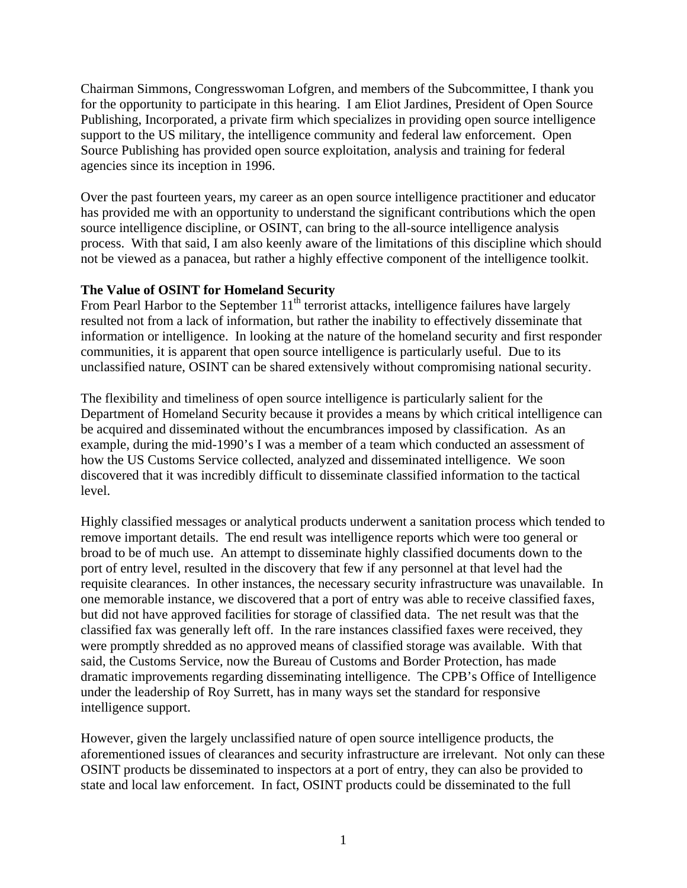Chairman Simmons, Congresswoman Lofgren, and members of the Subcommittee, I thank you for the opportunity to participate in this hearing. I am Eliot Jardines, President of Open Source Publishing, Incorporated, a private firm which specializes in providing open source intelligence support to the US military, the intelligence community and federal law enforcement. Open Source Publishing has provided open source exploitation, analysis and training for federal agencies since its inception in 1996.

Over the past fourteen years, my career as an open source intelligence practitioner and educator has provided me with an opportunity to understand the significant contributions which the open source intelligence discipline, or OSINT, can bring to the all-source intelligence analysis process. With that said, I am also keenly aware of the limitations of this discipline which should not be viewed as a panacea, but rather a highly effective component of the intelligence toolkit.

#### **The Value of OSINT for Homeland Security**

From Pearl Harbor to the September  $11<sup>th</sup>$  terrorist attacks, intelligence failures have largely resulted not from a lack of information, but rather the inability to effectively disseminate that information or intelligence. In looking at the nature of the homeland security and first responder communities, it is apparent that open source intelligence is particularly useful. Due to its unclassified nature, OSINT can be shared extensively without compromising national security.

The flexibility and timeliness of open source intelligence is particularly salient for the Department of Homeland Security because it provides a means by which critical intelligence can be acquired and disseminated without the encumbrances imposed by classification. As an example, during the mid-1990's I was a member of a team which conducted an assessment of how the US Customs Service collected, analyzed and disseminated intelligence. We soon discovered that it was incredibly difficult to disseminate classified information to the tactical level.

Highly classified messages or analytical products underwent a sanitation process which tended to remove important details. The end result was intelligence reports which were too general or broad to be of much use. An attempt to disseminate highly classified documents down to the port of entry level, resulted in the discovery that few if any personnel at that level had the requisite clearances. In other instances, the necessary security infrastructure was unavailable. In one memorable instance, we discovered that a port of entry was able to receive classified faxes, but did not have approved facilities for storage of classified data. The net result was that the classified fax was generally left off. In the rare instances classified faxes were received, they were promptly shredded as no approved means of classified storage was available. With that said, the Customs Service, now the Bureau of Customs and Border Protection, has made dramatic improvements regarding disseminating intelligence. The CPB's Office of Intelligence under the leadership of Roy Surrett, has in many ways set the standard for responsive intelligence support.

However, given the largely unclassified nature of open source intelligence products, the aforementioned issues of clearances and security infrastructure are irrelevant. Not only can these OSINT products be disseminated to inspectors at a port of entry, they can also be provided to state and local law enforcement. In fact, OSINT products could be disseminated to the full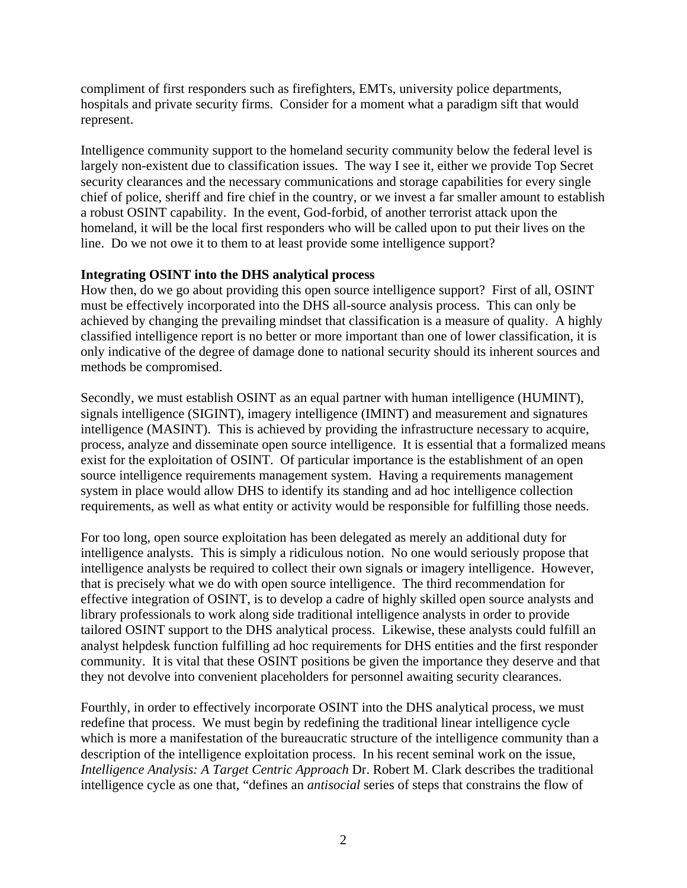compliment of first responders such as firefighters, EMTs, university police departments, hospitals and private security firms. Consider for a moment what a paradigm sift that would represent.

Intelligence community support to the homeland security community below the federal level is largely non-existent due to classification issues. The way I see it, either we provide Top Secret security clearances and the necessary communications and storage capabilities for every single chief of police, sheriff and fire chief in the country, or we invest a far smaller amount to establish a robust OSINT capability. In the event, God-forbid, of another terrorist attack upon the homeland, it will be the local first responders who will be called upon to put their lives on the line. Do we not owe it to them to at least provide some intelligence support?

### **Integrating OSINT into the DHS analytical process**

How then, do we go about providing this open source intelligence support? First of all, OSINT must be effectively incorporated into the DHS all-source analysis process. This can only be achieved by changing the prevailing mindset that classification is a measure of quality. A highly classified intelligence report is no better or more important than one of lower classification, it is only indicative of the degree of damage done to national security should its inherent sources and methods be compromised.

Secondly, we must establish OSINT as an equal partner with human intelligence (HUMINT), signals intelligence (SIGINT), imagery intelligence (IMINT) and measurement and signatures intelligence (MASINT). This is achieved by providing the infrastructure necessary to acquire, process, analyze and disseminate open source intelligence. It is essential that a formalized means exist for the exploitation of OSINT. Of particular importance is the establishment of an open source intelligence requirements management system. Having a requirements management system in place would allow DHS to identify its standing and ad hoc intelligence collection requirements, as well as what entity or activity would be responsible for fulfilling those needs.

For too long, open source exploitation has been delegated as merely an additional duty for intelligence analysts. This is simply a ridiculous notion. No one would seriously propose that intelligence analysts be required to collect their own signals or imagery intelligence. However, that is precisely what we do with open source intelligence. The third recommendation for effective integration of OSINT, is to develop a cadre of highly skilled open source analysts and library professionals to work along side traditional intelligence analysts in order to provide tailored OSINT support to the DHS analytical process. Likewise, these analysts could fulfill an analyst helpdesk function fulfilling ad hoc requirements for DHS entities and the first responder community. It is vital that these OSINT positions be given the importance they deserve and that they not devolve into convenient placeholders for personnel awaiting security clearances.

Fourthly, in order to effectively incorporate OSINT into the DHS analytical process, we must redefine that process. We must begin by redefining the traditional linear intelligence cycle which is more a manifestation of the bureaucratic structure of the intelligence community than a description of the intelligence exploitation process. In his recent seminal work on the issue, *Intelligence Analysis: A Target Centric Approach* Dr. Robert M. Clark describes the traditional intelligence cycle as one that, "defines an *antisocial* series of steps that constrains the flow of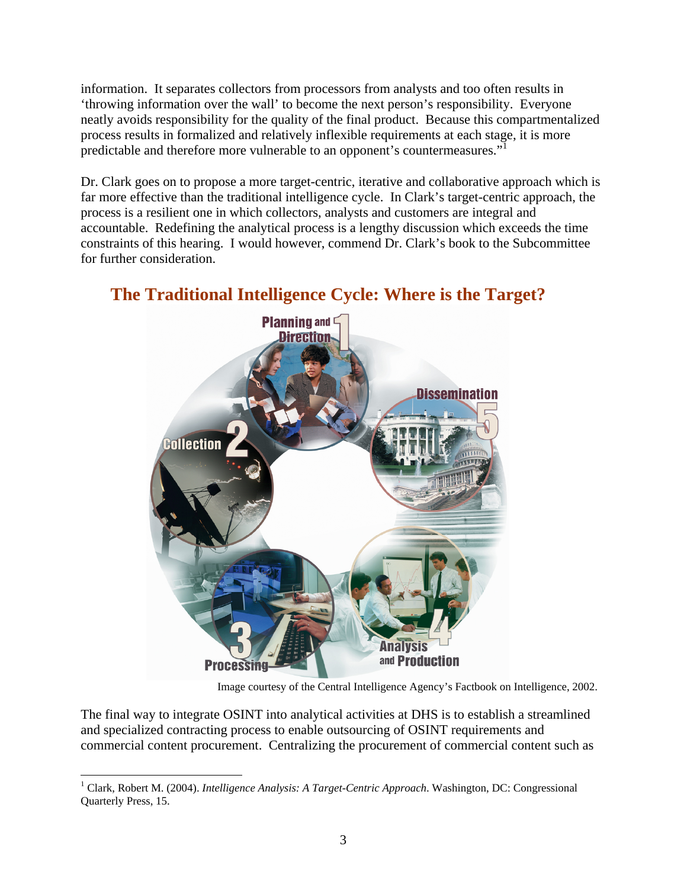information. It separates collectors from processors from analysts and too often results in 'throwing information over the wall' to become the next person's responsibility. Everyone neatly avoids responsibility for the quality of the final product. Because this compartmentalized process results in formalized and relatively inflexible requirements at each stage, it is more predictable and therefore more vulnerable to an opponent's countermeasures."<sup>1</sup>

Dr. Clark goes on to propose a more target-centric, iterative and collaborative approach which is far more effective than the traditional intelligence cycle. In Clark's target-centric approach, the process is a resilient one in which collectors, analysts and customers are integral and accountable. Redefining the analytical process is a lengthy discussion which exceeds the time constraints of this hearing. I would however, commend Dr. Clark's book to the Subcommittee for further consideration.



# **The Traditional Intelligence Cycle: Where is the Target?**

Image courtesy of the Central Intelligence Agency's Factbook on Intelligence, 2002.

The final way to integrate OSINT into analytical activities at DHS is to establish a streamlined and specialized contracting process to enable outsourcing of OSINT requirements and commercial content procurement. Centralizing the procurement of commercial content such as

 $\overline{a}$ 

<sup>&</sup>lt;sup>1</sup> Clark, Robert M. (2004). *Intelligence Analysis: A Target-Centric Approach*. Washington, DC: Congressional Quarterly Press, 15.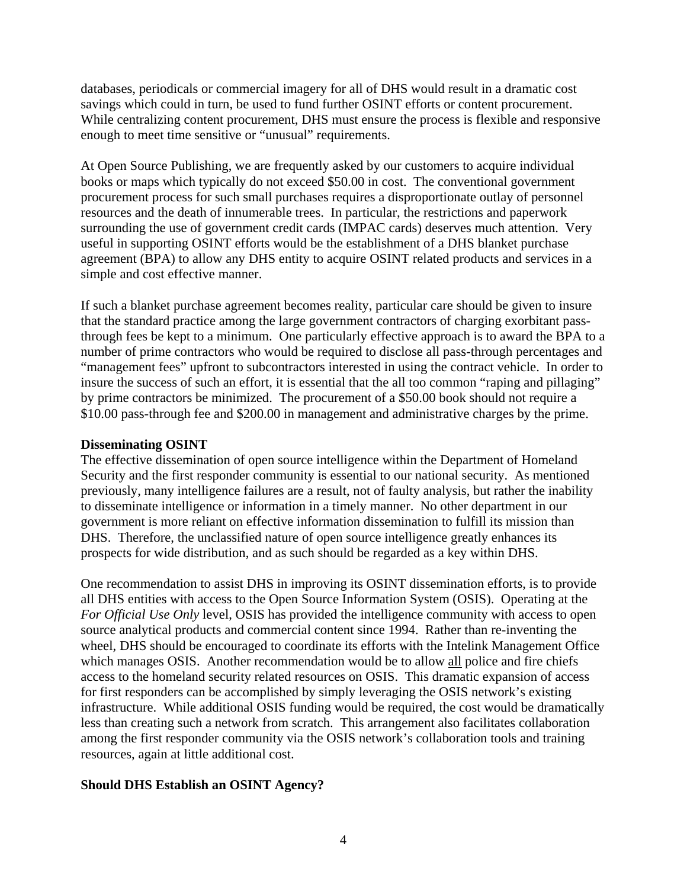databases, periodicals or commercial imagery for all of DHS would result in a dramatic cost savings which could in turn, be used to fund further OSINT efforts or content procurement. While centralizing content procurement, DHS must ensure the process is flexible and responsive enough to meet time sensitive or "unusual" requirements.

At Open Source Publishing, we are frequently asked by our customers to acquire individual books or maps which typically do not exceed \$50.00 in cost. The conventional government procurement process for such small purchases requires a disproportionate outlay of personnel resources and the death of innumerable trees. In particular, the restrictions and paperwork surrounding the use of government credit cards (IMPAC cards) deserves much attention. Very useful in supporting OSINT efforts would be the establishment of a DHS blanket purchase agreement (BPA) to allow any DHS entity to acquire OSINT related products and services in a simple and cost effective manner.

If such a blanket purchase agreement becomes reality, particular care should be given to insure that the standard practice among the large government contractors of charging exorbitant passthrough fees be kept to a minimum. One particularly effective approach is to award the BPA to a number of prime contractors who would be required to disclose all pass-through percentages and "management fees" upfront to subcontractors interested in using the contract vehicle. In order to insure the success of such an effort, it is essential that the all too common "raping and pillaging" by prime contractors be minimized. The procurement of a \$50.00 book should not require a \$10.00 pass-through fee and \$200.00 in management and administrative charges by the prime.

### **Disseminating OSINT**

The effective dissemination of open source intelligence within the Department of Homeland Security and the first responder community is essential to our national security. As mentioned previously, many intelligence failures are a result, not of faulty analysis, but rather the inability to disseminate intelligence or information in a timely manner. No other department in our government is more reliant on effective information dissemination to fulfill its mission than DHS. Therefore, the unclassified nature of open source intelligence greatly enhances its prospects for wide distribution, and as such should be regarded as a key within DHS.

One recommendation to assist DHS in improving its OSINT dissemination efforts, is to provide all DHS entities with access to the Open Source Information System (OSIS). Operating at the *For Official Use Only* level, OSIS has provided the intelligence community with access to open source analytical products and commercial content since 1994. Rather than re-inventing the wheel, DHS should be encouraged to coordinate its efforts with the Intelink Management Office which manages OSIS. Another recommendation would be to allow all police and fire chiefs access to the homeland security related resources on OSIS. This dramatic expansion of access for first responders can be accomplished by simply leveraging the OSIS network's existing infrastructure. While additional OSIS funding would be required, the cost would be dramatically less than creating such a network from scratch. This arrangement also facilitates collaboration among the first responder community via the OSIS network's collaboration tools and training resources, again at little additional cost.

## **Should DHS Establish an OSINT Agency?**